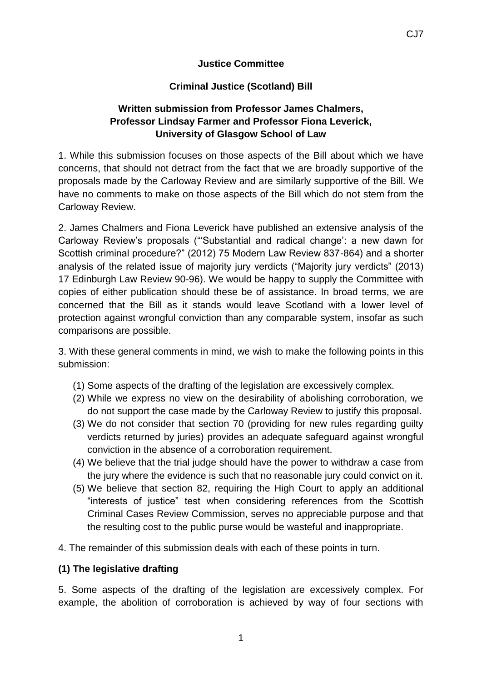#### **Justice Committee**

### **Criminal Justice (Scotland) Bill**

# **Written submission from Professor James Chalmers, Professor Lindsay Farmer and Professor Fiona Leverick, University of Glasgow School of Law**

1. While this submission focuses on those aspects of the Bill about which we have concerns, that should not detract from the fact that we are broadly supportive of the proposals made by the Carloway Review and are similarly supportive of the Bill. We have no comments to make on those aspects of the Bill which do not stem from the Carloway Review.

2. James Chalmers and Fiona Leverick have published an extensive analysis of the Carloway Review's proposals ("'Substantial and radical change': a new dawn for Scottish criminal procedure?" (2012) 75 Modern Law Review 837-864) and a shorter analysis of the related issue of majority jury verdicts ("Majority jury verdicts" (2013) 17 Edinburgh Law Review 90-96). We would be happy to supply the Committee with copies of either publication should these be of assistance. In broad terms, we are concerned that the Bill as it stands would leave Scotland with a lower level of protection against wrongful conviction than any comparable system, insofar as such comparisons are possible.

3. With these general comments in mind, we wish to make the following points in this submission:

- (1) Some aspects of the drafting of the legislation are excessively complex.
- (2) While we express no view on the desirability of abolishing corroboration, we do not support the case made by the Carloway Review to justify this proposal.
- (3) We do not consider that section 70 (providing for new rules regarding guilty verdicts returned by juries) provides an adequate safeguard against wrongful conviction in the absence of a corroboration requirement.
- (4) We believe that the trial judge should have the power to withdraw a case from the jury where the evidence is such that no reasonable jury could convict on it.
- (5) We believe that section 82, requiring the High Court to apply an additional "interests of justice" test when considering references from the Scottish Criminal Cases Review Commission, serves no appreciable purpose and that the resulting cost to the public purse would be wasteful and inappropriate.
- 4. The remainder of this submission deals with each of these points in turn.

#### **(1) The legislative drafting**

5. Some aspects of the drafting of the legislation are excessively complex. For example, the abolition of corroboration is achieved by way of four sections with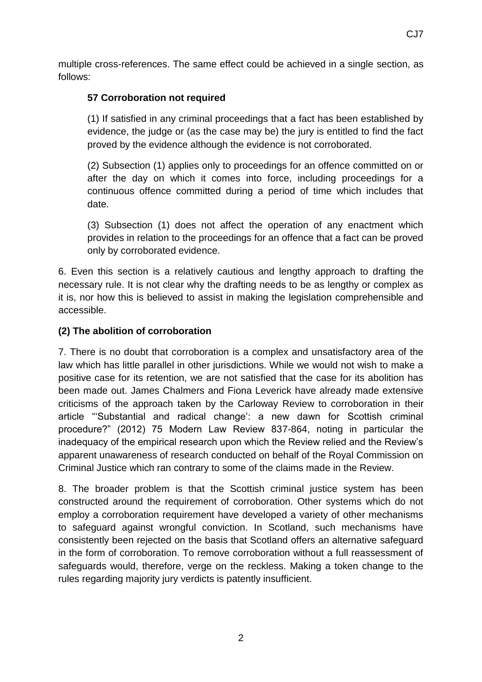multiple cross-references. The same effect could be achieved in a single section, as follows:

### **57 Corroboration not required**

(1) If satisfied in any criminal proceedings that a fact has been established by evidence, the judge or (as the case may be) the jury is entitled to find the fact proved by the evidence although the evidence is not corroborated.

(2) Subsection (1) applies only to proceedings for an offence committed on or after the day on which it comes into force, including proceedings for a continuous offence committed during a period of time which includes that date.

(3) Subsection (1) does not affect the operation of any enactment which provides in relation to the proceedings for an offence that a fact can be proved only by corroborated evidence.

6. Even this section is a relatively cautious and lengthy approach to drafting the necessary rule. It is not clear why the drafting needs to be as lengthy or complex as it is, nor how this is believed to assist in making the legislation comprehensible and accessible.

## **(2) The abolition of corroboration**

7. There is no doubt that corroboration is a complex and unsatisfactory area of the law which has little parallel in other jurisdictions. While we would not wish to make a positive case for its retention, we are not satisfied that the case for its abolition has been made out. James Chalmers and Fiona Leverick have already made extensive criticisms of the approach taken by the Carloway Review to corroboration in their article "'Substantial and radical change': a new dawn for Scottish criminal procedure?" (2012) 75 Modern Law Review 837-864, noting in particular the inadequacy of the empirical research upon which the Review relied and the Review's apparent unawareness of research conducted on behalf of the Royal Commission on Criminal Justice which ran contrary to some of the claims made in the Review.

8. The broader problem is that the Scottish criminal justice system has been constructed around the requirement of corroboration. Other systems which do not employ a corroboration requirement have developed a variety of other mechanisms to safeguard against wrongful conviction. In Scotland, such mechanisms have consistently been rejected on the basis that Scotland offers an alternative safeguard in the form of corroboration. To remove corroboration without a full reassessment of safeguards would, therefore, verge on the reckless. Making a token change to the rules regarding majority jury verdicts is patently insufficient.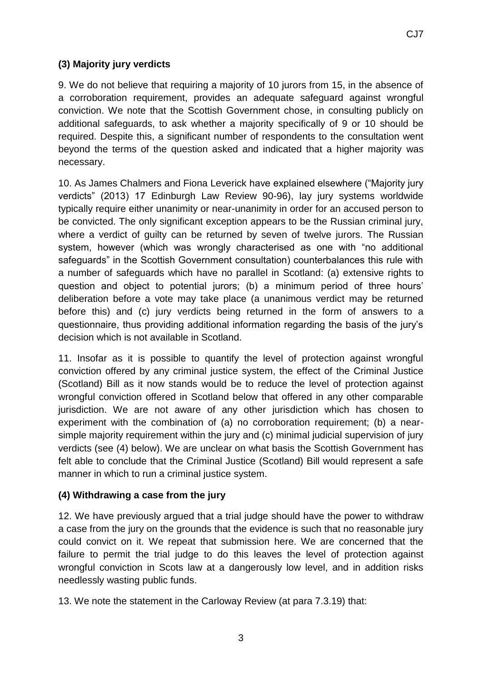# **(3) Majority jury verdicts**

9. We do not believe that requiring a majority of 10 jurors from 15, in the absence of a corroboration requirement, provides an adequate safeguard against wrongful conviction. We note that the Scottish Government chose, in consulting publicly on additional safeguards, to ask whether a majority specifically of 9 or 10 should be required. Despite this, a significant number of respondents to the consultation went beyond the terms of the question asked and indicated that a higher majority was necessary.

10. As James Chalmers and Fiona Leverick have explained elsewhere ("Majority jury verdicts" (2013) 17 Edinburgh Law Review 90-96), lay jury systems worldwide typically require either unanimity or near-unanimity in order for an accused person to be convicted. The only significant exception appears to be the Russian criminal jury, where a verdict of guilty can be returned by seven of twelve jurors. The Russian system, however (which was wrongly characterised as one with "no additional safeguards" in the Scottish Government consultation) counterbalances this rule with a number of safeguards which have no parallel in Scotland: (a) extensive rights to question and object to potential jurors; (b) a minimum period of three hours' deliberation before a vote may take place (a unanimous verdict may be returned before this) and (c) jury verdicts being returned in the form of answers to a questionnaire, thus providing additional information regarding the basis of the jury's decision which is not available in Scotland.

11. Insofar as it is possible to quantify the level of protection against wrongful conviction offered by any criminal justice system, the effect of the Criminal Justice (Scotland) Bill as it now stands would be to reduce the level of protection against wrongful conviction offered in Scotland below that offered in any other comparable jurisdiction. We are not aware of any other jurisdiction which has chosen to experiment with the combination of (a) no corroboration requirement; (b) a nearsimple majority requirement within the jury and (c) minimal judicial supervision of jury verdicts (see (4) below). We are unclear on what basis the Scottish Government has felt able to conclude that the Criminal Justice (Scotland) Bill would represent a safe manner in which to run a criminal justice system.

### **(4) Withdrawing a case from the jury**

12. We have previously argued that a trial judge should have the power to withdraw a case from the jury on the grounds that the evidence is such that no reasonable jury could convict on it. We repeat that submission here. We are concerned that the failure to permit the trial judge to do this leaves the level of protection against wrongful conviction in Scots law at a dangerously low level, and in addition risks needlessly wasting public funds.

13. We note the statement in the Carloway Review (at para 7.3.19) that: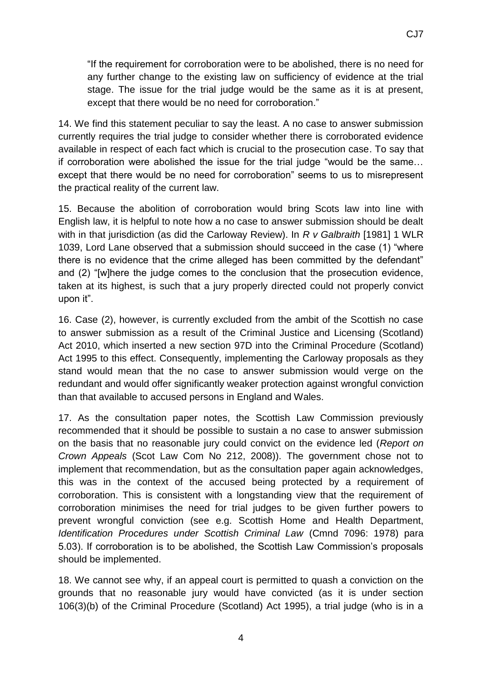14. We find this statement peculiar to say the least. A no case to answer submission currently requires the trial judge to consider whether there is corroborated evidence available in respect of each fact which is crucial to the prosecution case. To say that if corroboration were abolished the issue for the trial judge "would be the same… except that there would be no need for corroboration" seems to us to misrepresent the practical reality of the current law.

15. Because the abolition of corroboration would bring Scots law into line with English law, it is helpful to note how a no case to answer submission should be dealt with in that jurisdiction (as did the Carloway Review). In *R v Galbraith* [1981] 1 WLR 1039, Lord Lane observed that a submission should succeed in the case (1) "where there is no evidence that the crime alleged has been committed by the defendant" and (2) "[w]here the judge comes to the conclusion that the prosecution evidence, taken at its highest, is such that a jury properly directed could not properly convict upon it".

16. Case (2), however, is currently excluded from the ambit of the Scottish no case to answer submission as a result of the Criminal Justice and Licensing (Scotland) Act 2010, which inserted a new section 97D into the Criminal Procedure (Scotland) Act 1995 to this effect. Consequently, implementing the Carloway proposals as they stand would mean that the no case to answer submission would verge on the redundant and would offer significantly weaker protection against wrongful conviction than that available to accused persons in England and Wales.

17. As the consultation paper notes, the Scottish Law Commission previously recommended that it should be possible to sustain a no case to answer submission on the basis that no reasonable jury could convict on the evidence led (*Report on Crown Appeals* (Scot Law Com No 212, 2008)). The government chose not to implement that recommendation, but as the consultation paper again acknowledges, this was in the context of the accused being protected by a requirement of corroboration. This is consistent with a longstanding view that the requirement of corroboration minimises the need for trial judges to be given further powers to prevent wrongful conviction (see e.g. Scottish Home and Health Department, *Identification Procedures under Scottish Criminal Law* (Cmnd 7096: 1978) para 5.03). If corroboration is to be abolished, the Scottish Law Commission's proposals should be implemented.

18. We cannot see why, if an appeal court is permitted to quash a conviction on the grounds that no reasonable jury would have convicted (as it is under section 106(3)(b) of the Criminal Procedure (Scotland) Act 1995), a trial judge (who is in a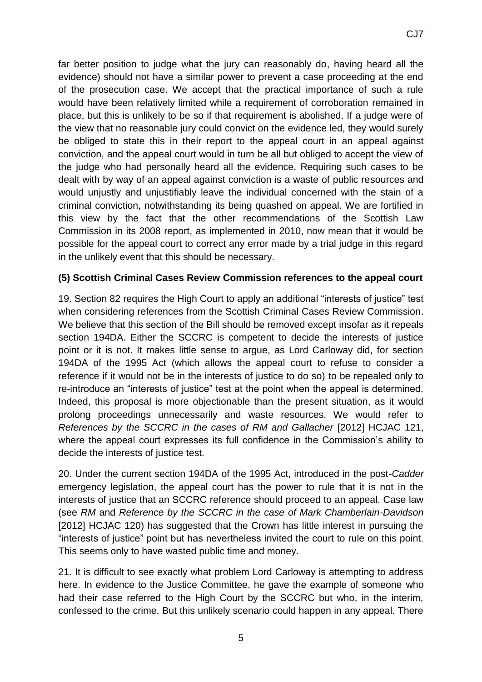CJ7

evidence) should not have a similar power to prevent a case proceeding at the end of the prosecution case. We accept that the practical importance of such a rule would have been relatively limited while a requirement of corroboration remained in place, but this is unlikely to be so if that requirement is abolished. If a judge were of the view that no reasonable jury could convict on the evidence led, they would surely be obliged to state this in their report to the appeal court in an appeal against conviction, and the appeal court would in turn be all but obliged to accept the view of the judge who had personally heard all the evidence. Requiring such cases to be dealt with by way of an appeal against conviction is a waste of public resources and would unjustly and unjustifiably leave the individual concerned with the stain of a criminal conviction, notwithstanding its being quashed on appeal. We are fortified in this view by the fact that the other recommendations of the Scottish Law Commission in its 2008 report, as implemented in 2010, now mean that it would be possible for the appeal court to correct any error made by a trial judge in this regard in the unlikely event that this should be necessary.

## **(5) Scottish Criminal Cases Review Commission references to the appeal court**

19. Section 82 requires the High Court to apply an additional "interests of justice" test when considering references from the Scottish Criminal Cases Review Commission. We believe that this section of the Bill should be removed except insofar as it repeals section 194DA. Either the SCCRC is competent to decide the interests of justice point or it is not. It makes little sense to argue, as Lord Carloway did, for section 194DA of the 1995 Act (which allows the appeal court to refuse to consider a reference if it would not be in the interests of justice to do so) to be repealed only to re-introduce an "interests of justice" test at the point when the appeal is determined. Indeed, this proposal is more objectionable than the present situation, as it would prolong proceedings unnecessarily and waste resources. We would refer to *References by the SCCRC in the cases of RM and Gallacher* [2012] HCJAC 121, where the appeal court expresses its full confidence in the Commission's ability to decide the interests of justice test.

20. Under the current section 194DA of the 1995 Act, introduced in the post-*Cadder*  emergency legislation, the appeal court has the power to rule that it is not in the interests of justice that an SCCRC reference should proceed to an appeal. Case law (see *RM* and *Reference by the SCCRC in the case of Mark Chamberlain-Davidson*  [2012] HCJAC 120) has suggested that the Crown has little interest in pursuing the "interests of justice" point but has nevertheless invited the court to rule on this point. This seems only to have wasted public time and money.

21. It is difficult to see exactly what problem Lord Carloway is attempting to address here. In evidence to the Justice Committee, he gave the example of someone who had their case referred to the High Court by the SCCRC but who, in the interim, confessed to the crime. But this unlikely scenario could happen in any appeal. There